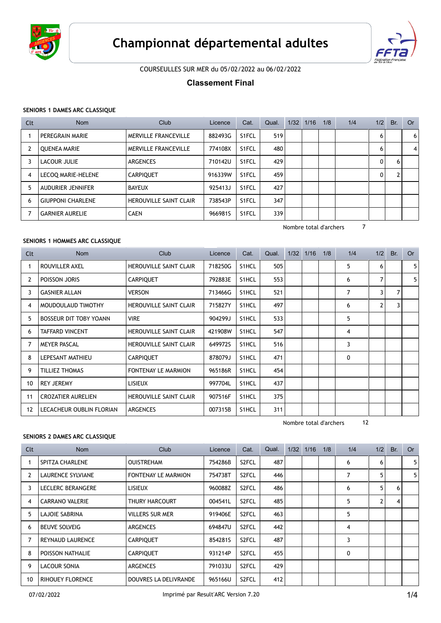



COURSEULLES SUR MER du 05/02/2022 au 06/02/2022

# **Classement Final**

## **SENIORS 1 DAMES ARC CLASSIQUE**

| Clt            | <b>Nom</b>               | Club                          | Licence | Cat.               | Qual. | 1/32 | 1/16 | 1/8 | 1/4 | 1/2 | Br. | <b>Or</b> |
|----------------|--------------------------|-------------------------------|---------|--------------------|-------|------|------|-----|-----|-----|-----|-----------|
|                | PEREGRAIN MARIE          | <b>MERVILLE FRANCEVILLE</b>   | 882493G | S <sub>1</sub> FCL | 519   |      |      |     |     | 6   |     | 6         |
| 2              | <b>OUENEA MARIE</b>      | <b>MERVILLE FRANCEVILLE</b>   | 774108X | S <sub>1</sub> FCL | 480   |      |      |     |     | 6   |     | 4         |
| 3              | LACOUR JULIE             | ARGENCES                      | 710142U | S <sub>1</sub> FCL | 429   |      |      |     |     | 0   | 6   |           |
| $\overline{4}$ | LECOQ MARIE-HELENE       | <b>CARPIOUET</b>              | 916339W | S1FCL              | 459   |      |      |     |     | 0   |     |           |
| 5              | <b>AUDURIER JENNIFER</b> | <b>BAYEUX</b>                 | 925413J | S <sub>1</sub> FCL | 427   |      |      |     |     |     |     |           |
| 6              | <b>GIUPPONI CHARLENE</b> | <b>HEROUVILLE SAINT CLAIR</b> | 738543P | S <sub>1</sub> FCL | 347   |      |      |     |     |     |     |           |
|                | <b>GARNIER AURELIE</b>   | <b>CAEN</b>                   | 966981S | S <sub>1</sub> FCL | 339   |      |      |     |     |     |     |           |

Nombre total d'archers 7

## **SENIORS 1 HOMMES ARC CLASSIQUE**

| Clt            | <b>Nom</b>                    | <b>Club</b>                   | Licence | Cat.  | Qual. | 1/32 | 1/16 | 1/8 | 1/4 | 1/2 | Br. | <b>Or</b>      |
|----------------|-------------------------------|-------------------------------|---------|-------|-------|------|------|-----|-----|-----|-----|----------------|
|                | ROUVILLER AXEL                | <b>HEROUVILLE SAINT CLAIR</b> | 718250G | S1HCL | 505   |      |      |     | 5   | 6   |     | 5 <sup>1</sup> |
| 2              | POISSON JORIS                 | <b>CARPIQUET</b>              | 792883E | S1HCL | 553   |      |      |     | 6   | 7   |     | 5 <sup>1</sup> |
| 3              | <b>GASNIER ALLAN</b>          | VERSON                        | 713466G | S1HCL | 521   |      |      |     | 7   | 3   | 7   |                |
| 4              | MOUDOULAUD TIMOTHY            | <b>HEROUVILLE SAINT CLAIR</b> | 715827Y | S1HCL | 497   |      |      |     | 6   | 2   | 3   |                |
| 5              | <b>BOSSEUR DIT TOBY YOANN</b> | <b>VIRE</b>                   | 904299J | S1HCL | 533   |      |      |     | 5   |     |     |                |
| 6              | <b>TAFFARD VINCENT</b>        | <b>HEROUVILLE SAINT CLAIR</b> | 421908W | S1HCL | 547   |      |      |     | 4   |     |     |                |
| $\overline{7}$ | <b>MEYER PASCAL</b>           | <b>HEROUVILLE SAINT CLAIR</b> | 649972S | S1HCL | 516   |      |      |     | 3   |     |     |                |
| 8              | LEPESANT MATHIEU              | <b>CARPIQUET</b>              | 878079J | S1HCL | 471   |      |      |     | 0   |     |     |                |
| 9              | <b>TILLIEZ THOMAS</b>         | <b>FONTENAY LE MARMION</b>    | 965186R | S1HCL | 454   |      |      |     |     |     |     |                |
| 10             | <b>REY JEREMY</b>             | <b>LISIEUX</b>                | 997704L | S1HCL | 437   |      |      |     |     |     |     |                |
| 11             | <b>CROZATIER AURELIEN</b>     | <b>HEROUVILLE SAINT CLAIR</b> | 907516F | S1HCL | 375   |      |      |     |     |     |     |                |
| 12             | LECACHEUR OUBLIN FLORIAN      | <b>ARGENCES</b>               | 007315B | S1HCL | 311   |      |      |     |     |     |     |                |

Nombre total d'archers 12

#### **SENIORS 2 DAMES ARC CLASSIQUE**

| Clt            | <b>Nom</b>              | <b>Club</b>                | Licence | Cat.               | Qual. | 1/32 | 1/16 | 1/8 | 1/4 | 1/2          | Br. | <b>Or</b> |
|----------------|-------------------------|----------------------------|---------|--------------------|-------|------|------|-----|-----|--------------|-----|-----------|
|                | <b>SPITZA CHARLENE</b>  | <b>OUISTREHAM</b>          | 754286B | S <sub>2</sub> FCL | 487   |      |      |     | 6   | 6            |     | 5         |
| 2              | LAURENCE SYLVIANE       | <b>FONTENAY LE MARMION</b> | 754738T | S <sub>2</sub> FCL | 446   |      |      |     | 7   | 5            |     | 5         |
| 3              | LECLERC BERANGERE       | <b>LISIEUX</b>             | 960088Z | S <sub>2</sub> FCL | 486   |      |      |     | 6   | 5            | 6   |           |
| 4              | <b>CARRANO VALERIE</b>  | THURY HARCOURT             | 004541L | S <sub>2</sub> FCL | 485   |      |      |     | 5   | $\mathbf{2}$ | 4   |           |
| 5              | LAJOIE SABRINA          | <b>VILLERS SUR MER</b>     | 919406E | S <sub>2</sub> FCL | 463   |      |      |     | 5   |              |     |           |
| 6              | <b>BEUVE SOLVEIG</b>    | <b>ARGENCES</b>            | 694847U | S <sub>2</sub> FCL | 442   |      |      |     | 4   |              |     |           |
| $\overline{7}$ | <b>REYNAUD LAURENCE</b> | <b>CARPIQUET</b>           | 8542815 | S <sub>2</sub> FCL | 487   |      |      |     | 3   |              |     |           |
| 8              | POISSON NATHALIE        | <b>CARPIQUET</b>           | 931214P | S <sub>2</sub> FCL | 455   |      |      |     | 0   |              |     |           |
| 9              | LACOUR SONIA            | <b>ARGENCES</b>            | 791033U | S <sub>2</sub> FCL | 429   |      |      |     |     |              |     |           |
| 10             | <b>RIHOUEY FLORENCE</b> | DOUVRES LA DELIVRANDE      | 965166U | S <sub>2</sub> FCL | 412   |      |      |     |     |              |     |           |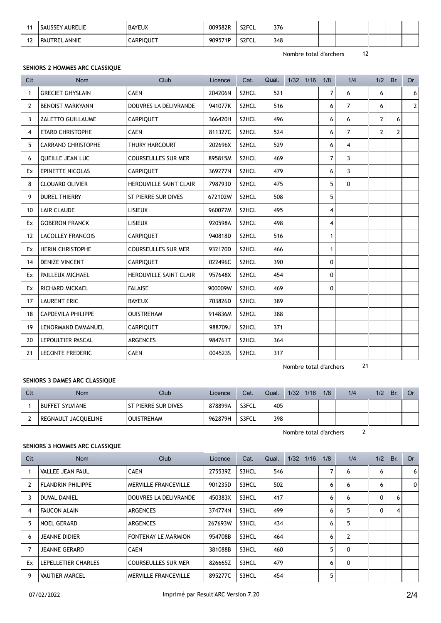|     | SAUSSEY AURELIE      | <b>BAYEUX</b>    | 009582R | S <sub>2</sub> FCL | 376 |  |  |  |  |
|-----|----------------------|------------------|---------|--------------------|-----|--|--|--|--|
| . . | <b>PAUTREL ANNIE</b> | <b>CARPIQUET</b> | 909571P | S <sub>2</sub> FCL | 348 |  |  |  |  |

Nombre total d'archers 12

## **SENIORS 2 HOMMES ARC CLASSIQUE**

| Clt          | <b>Nom</b>                | Club                          | Licence | Cat.  | Qual. | $1/32$ $1/16$ | 1/8            | 1/4            | 1/2            | Br.            | <b>Or</b>        |
|--------------|---------------------------|-------------------------------|---------|-------|-------|---------------|----------------|----------------|----------------|----------------|------------------|
| $\mathbf{1}$ | <b>GRECIET GHYSLAIN</b>   | <b>CAEN</b>                   | 204206N | S2HCL | 521   |               | $\overline{7}$ | 6              | 6              |                | $\boldsymbol{6}$ |
| 2            | <b>BENOIST MARKYANN</b>   | <b>DOUVRES LA DELIVRANDE</b>  | 941077K | S2HCL | 516   |               | 6              | $\overline{7}$ | 6              |                | $\mathbf{2}$     |
| 3            | <b>ZALETTO GUILLAUME</b>  | CARPIQUET                     | 366420H | S2HCL | 496   |               | 6              | 6              | $\overline{2}$ | 6              |                  |
| 4            | <b>ETARD CHRISTOPHE</b>   | <b>CAEN</b>                   | 811327C | S2HCL | 524   |               | 6              | $\overline{7}$ | $\overline{2}$ | $\overline{2}$ |                  |
| 5            | <b>CARRANO CHRISTOPHE</b> | THURY HARCOURT                | 202696X | S2HCL | 529   |               | 6              | $\overline{4}$ |                |                |                  |
| 6            | QUEILLE JEAN LUC          | <b>COURSEULLES SUR MER</b>    | 895815M | S2HCL | 469   |               | $\overline{7}$ | 3              |                |                |                  |
| Ex           | <b>EPINETTE NICOLAS</b>   | <b>CARPIQUET</b>              | 369277N | S2HCL | 479   |               | 6              | $\mathbf{3}$   |                |                |                  |
| 8            | <b>CLOUARD OLIVIER</b>    | <b>HEROUVILLE SAINT CLAIR</b> | 798793D | S2HCL | 475   |               | 5              | 0              |                |                |                  |
| 9            | <b>DUREL THIERRY</b>      | ST PIERRE SUR DIVES           | 672102W | S2HCL | 508   |               | 5              |                |                |                |                  |
| 10           | <b>LAIR CLAUDE</b>        | <b>LISIEUX</b>                | 960077M | S2HCL | 495   |               | 4              |                |                |                |                  |
| Ex           | <b>GOBERON FRANCK</b>     | <b>LISIEUX</b>                | 920598A | S2HCL | 498   |               | 4              |                |                |                |                  |
| 12           | <b>LACOLLEY FRANCOIS</b>  | CARPIQUET                     | 940818D | S2HCL | 516   |               | $\mathbf{1}$   |                |                |                |                  |
| Ex           | <b>HERIN CHRISTOPHE</b>   | <b>COURSEULLES SUR MER</b>    | 932170D | S2HCL | 466   |               | $\mathbf{1}$   |                |                |                |                  |
| 14           | <b>DENIZE VINCENT</b>     | <b>CARPIQUET</b>              | 022496C | S2HCL | 390   |               | 0              |                |                |                |                  |
| Ex           | PAILLEUX MICHAEL          | <b>HEROUVILLE SAINT CLAIR</b> | 957648X | S2HCL | 454   |               | $\mathbf 0$    |                |                |                |                  |
| Ex           | <b>RICHARD MICKAEL</b>    | <b>FALAISE</b>                | 900009W | S2HCL | 469   |               | 0              |                |                |                |                  |
| 17           | <b>LAURENT ERIC</b>       | <b>BAYEUX</b>                 | 703826D | S2HCL | 389   |               |                |                |                |                |                  |
| 18           | <b>CAPDEVILA PHILIPPE</b> | <b>OUISTREHAM</b>             | 914836M | S2HCL | 388   |               |                |                |                |                |                  |
| 19           | LENORMAND EMMANUEL        | CARPIQUET                     | 988709J | S2HCL | 371   |               |                |                |                |                |                  |
| 20           | LEPOULTIER PASCAL         | ARGENCES                      | 984761T | S2HCL | 364   |               |                |                |                |                |                  |
| 21           | <b>LECONTE FREDERIC</b>   | <b>CAEN</b>                   | 0045235 | S2HCL | 317   |               |                |                |                |                |                  |

Nombre total d'archers 21

## **SENIORS 3 DAMES ARC CLASSIQUE**

| Clt | <b>Nom</b>             | Club                | Licence | Cat.  | Qual. | 1/32 | 1/16 | 1/8 | 1/4 | 1/2 | Br. | 0r |
|-----|------------------------|---------------------|---------|-------|-------|------|------|-----|-----|-----|-----|----|
|     | <b>BUFFET SYLVIANE</b> | ST PIERRE SUR DIVES | 878899A | S3FCL | 405   |      |      |     |     |     |     |    |
|     | REGNAULT JACQUELINE    | <b>OUISTREHAM</b>   | 962879H | S3FCL | 398   |      |      |     |     |     |     |    |

Nombre total d'archers 2

## **SENIORS 3 HOMMES ARC CLASSIQUE**

| Clt | <b>Nom</b>               | Club                        | Licence | Cat.  | Qual. | 1/32 | 1/16 | 1/8 | 1/4            | 1/2 | Br. | Or |
|-----|--------------------------|-----------------------------|---------|-------|-------|------|------|-----|----------------|-----|-----|----|
|     | <b>VALLEE JEAN PAUL</b>  | <b>CAEN</b>                 | 275539Z | S3HCL | 546   |      |      | 7   | 6              | 6   |     | 6  |
|     | <b>FLANDRIN PHILIPPE</b> | <b>MERVILLE FRANCEVILLE</b> | 901235D | S3HCL | 502   |      |      | 6   | 6              | 6   |     | 0  |
| 3   | <b>DUVAL DANIEL</b>      | DOUVRES LA DELIVRANDE       | 450383X | S3HCL | 417   |      |      | 6   | 6              | 0   | 6   |    |
| 4   | <b>FAUCON ALAIN</b>      | ARGENCES                    | 374774N | S3HCL | 499   |      |      | 6   | 5              | 0   | 4   |    |
| 5   | <b>NOEL GERARD</b>       | ARGENCES                    | 267693W | S3HCL | 434   |      |      | 6   | 5              |     |     |    |
| 6   | <b>JEANNE DIDIER</b>     | <b>FONTENAY LE MARMION</b>  | 954708B | S3HCL | 464   |      |      | 6   | $\overline{2}$ |     |     |    |
|     | <b>JEANNE GERARD</b>     | <b>CAEN</b>                 | 381088B | S3HCL | 460   |      |      | 5   | $\mathbf{0}$   |     |     |    |
| Ex  | LEPELLETIER CHARLES      | COURSEULLES SUR MER         | 826665Z | S3HCL | 479   |      |      | 6   | $\mathbf{0}$   |     |     |    |
| 9   | <b>VAUTIER MARCEL</b>    | <b>MERVILLE FRANCEVILLE</b> | 895277C | S3HCL | 454   |      |      | 5   |                |     |     |    |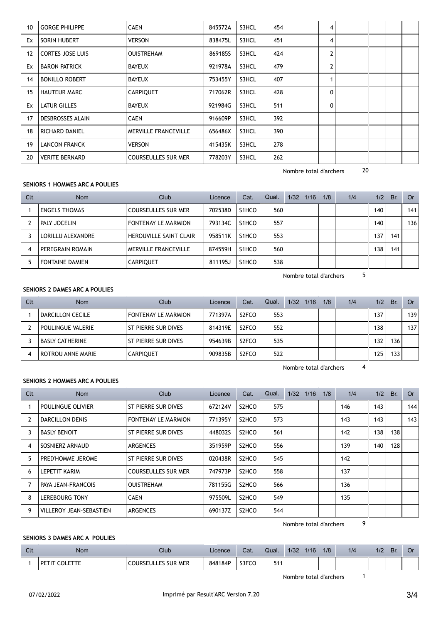| 10 | <b>GORGE PHILIPPE</b>   | <b>CAEN</b>                 | 845572A | S3HCL | 454 | 4              |  |  |
|----|-------------------------|-----------------------------|---------|-------|-----|----------------|--|--|
| Ex | SORIN HUBERT            | <b>VERSON</b>               | 838475L | S3HCL | 451 | 4              |  |  |
| 12 | <b>CORTES JOSE LUIS</b> | <b>OUISTREHAM</b>           | 869185S | S3HCL | 424 | $\overline{2}$ |  |  |
| Ex | <b>BARON PATRICK</b>    | <b>BAYEUX</b>               | 921978A | S3HCL | 479 | $\mathbf{2}$   |  |  |
| 14 | <b>BONILLO ROBERT</b>   | <b>BAYEUX</b>               | 753455Y | S3HCL | 407 |                |  |  |
| 15 | <b>HAUTEUR MARC</b>     | <b>CARPIQUET</b>            | 717062R | S3HCL | 428 | 0              |  |  |
| Ex | <b>LATUR GILLES</b>     | <b>BAYEUX</b>               | 921984G | S3HCL | 511 | 0              |  |  |
| 17 | <b>DESBROSSES ALAIN</b> | <b>CAEN</b>                 | 916609P | S3HCL | 392 |                |  |  |
| 18 | RICHARD DANIEL          | <b>MERVILLE FRANCEVILLE</b> | 656486X | S3HCL | 390 |                |  |  |
| 19 | <b>LANCON FRANCK</b>    | <b>VERSON</b>               | 415435K | S3HCL | 278 |                |  |  |
| 20 | <b>VERITE BERNARD</b>   | <b>COURSEULLES SUR MER</b>  | 778203Y | S3HCL | 262 |                |  |  |

Nombre total d'archers 20

## **SENIORS 1 HOMMES ARC A POULIES**

| Clt | <b>Nom</b>             | Club                          | Licence | Cat.               | Qual. | 1/32 | 1/16 | 1/8 | 1/4 | 1/2 | Br. | Or  |
|-----|------------------------|-------------------------------|---------|--------------------|-------|------|------|-----|-----|-----|-----|-----|
|     | <b>ENGELS THOMAS</b>   | <b>COURSEULLES SUR MER</b>    | 702538D | S1HCO              | 560   |      |      |     |     | 140 |     | 141 |
|     | PALY JOCELIN           | FONTENAY LE MARMION           | 793134C | S1HCO              | 557   |      |      |     |     | 140 |     | 136 |
|     | LORILLU ALEXANDRE      | <b>HEROUVILLE SAINT CLAIR</b> | 958511K | S <sub>1</sub> HCO | 553   |      |      |     |     | 137 | 141 |     |
| -4  | PEREGRAIN ROMAIN       | MERVILLE FRANCEVILLE          | 874559H | S <sub>1</sub> HCO | 560   |      |      |     |     | 138 | 141 |     |
|     | <b>FONTAINE DAMIEN</b> | <b>CARPIQUET</b>              | 811195J | S1HCO              | 538   |      |      |     |     |     |     |     |

Nombre total d'archers 5

## **SENIORS 2 DAMES ARC A POULIES**

| Clt | <b>Nom</b>               | Club                | Licence | Cat.               | Qual. | 1/32 | 1/16 | 1/8 | 1/4 | 1/2 | Br. | Or  |
|-----|--------------------------|---------------------|---------|--------------------|-------|------|------|-----|-----|-----|-----|-----|
|     | DARCILLON CECILE         | FONTENAY LE MARMION | 771397A | S <sub>2</sub> FCO | 553   |      |      |     |     | 137 |     | 139 |
|     | POULINGUE VALERIE        | ST PIERRE SUR DIVES | 814319E | S <sub>2</sub> FCO | 552   |      |      |     |     | 138 |     | 137 |
|     | <b>BASLY CATHERINE</b>   | ST PIERRE SUR DIVES | 954639B | S <sub>2</sub> FCO | 535   |      |      |     |     | 132 | 136 |     |
| 4   | <b>ROTROU ANNE MARIE</b> | <b>CARPIQUET</b>    | 909835B | S <sub>2</sub> FCO | 522   |      |      |     |     | 125 | 133 |     |

Nombre total d'archers 4

#### **SENIORS 2 HOMMES ARC A POULIES**

| Clt | <b>Nom</b>                     | Club                       | Licence | Cat.               | Qual. | 1/32 | 1/16 | 1/8 | 1/4 | 1/2 | Br. | Or  |
|-----|--------------------------------|----------------------------|---------|--------------------|-------|------|------|-----|-----|-----|-----|-----|
|     | POULINGUE OLIVIER              | ST PIERRE SUR DIVES        | 672124V | S <sub>2</sub> HCO | 575   |      |      |     | 146 | 143 |     | 144 |
| 2   | <b>DARCILLON DENIS</b>         | <b>FONTENAY LE MARMION</b> | 771395Y | S <sub>2</sub> HCO | 573   |      |      |     | 143 | 143 |     | 143 |
| 3   | <b>BASLY BENOIT</b>            | ST PIERRE SUR DIVES        | 448032S | S2HCO              | 561   |      |      |     | 142 | 138 | 138 |     |
| 4   | SOSNIERZ ARNAUD                | ARGENCES                   | 351959P | S <sub>2</sub> HCO | 556   |      |      |     | 139 | 140 | 128 |     |
| 5   | PRED'HOMME JEROME              | ST PIERRE SUR DIVES        | 020438R | S <sub>2</sub> HCO | 545   |      |      |     | 142 |     |     |     |
| 6   | LEPETIT KARIM                  | <b>COURSEULLES SUR MER</b> | 747973P | S2HCO              | 558   |      |      |     | 137 |     |     |     |
|     | PAYA JEAN-FRANCOIS             | <b>OUISTREHAM</b>          | 781155G | S <sub>2</sub> HCO | 566   |      |      |     | 136 |     |     |     |
| -8  | <b>LEREBOURG TONY</b>          | <b>CAEN</b>                | 975509L | S2HCO              | 549   |      |      |     | 135 |     |     |     |
| 9   | <b>VILLEROY JEAN-SEBASTIEN</b> | ARGENCES                   | 690137Z | S2HCO              | 544   |      |      |     |     |     |     |     |

Nombre total d'archers 9

#### **SENIORS 3 DAMES ARC A POULIES**

| $C1+$<br>uu | <b>Nom</b>                       | Club                                        | Licence | Cat.  | Qual.      | 1/32 | 1/16 | 1/8 | 1/4 | 1/2 | Br. | ◡ |
|-------------|----------------------------------|---------------------------------------------|---------|-------|------------|------|------|-----|-----|-----|-----|---|
|             | <b>ETTE</b><br><b>DET</b><br>rnı | LES SUR MER<br>JH I<br><b>COLIN</b><br>. эг | 848184P | S3FCC | <b>E44</b> |      |      |     |     |     |     |   |

Nombre total d'archers 1